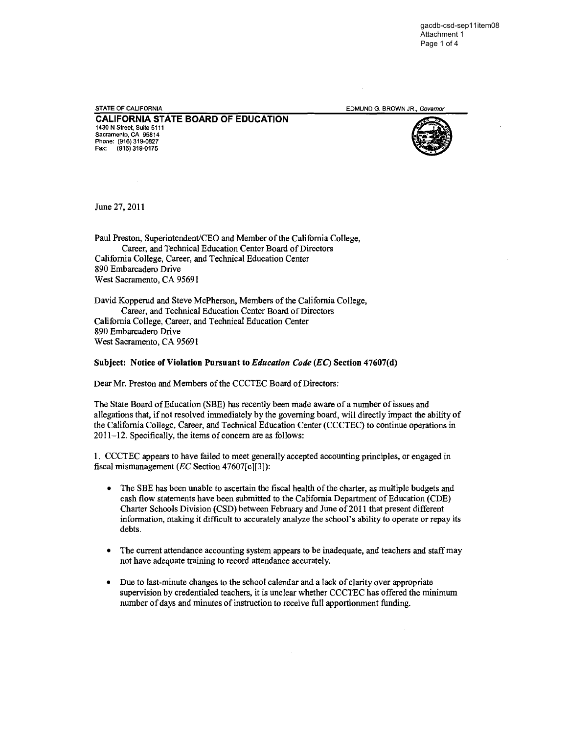STATE OF CALIFORNIA **STATE OF CALIFORNIA EDMUND G. BROWN JR., Governor** 

**CALIFORNIA STATE BOARD OF EDUCATION**  1430 N Street, Suite 5111 Sacramento, CA 95814 Phone: (916) 319-0827 Fax: (916) 319-0175



June 27, 2011

Paul Preston, Superintendent'CEO and Member of the California College, Career, and Technical Education Center Board of Directors California College, Career, and Technical Education Center 890 Embarcadero Drive West Sacramento, CA 95691

David Kopperud and Steve McPherson, Members of the California College, Career, and Technical Education Center Board of Directors California College, Career, and Technical Education Center 890 Embarcadero Drive West Sacramento, CA 95691

## Subject: Notice of Violation Pursuant to *Education Code (EC)* Section 47607(d)

Dear Mr. Preston and Members of the CCCTEC Board of Directors:

The State Board of Education (SBE) has recently been made aware of a number ofissues and allegations that, if not resolved immediately by the governing board, will directly impact the ability of the California College, Career, and Technical Education Center (CCCTEC) to continue operations in 2011-12. Specifically, the items of concern are as follows:

I, CCCTEC appears to have failed to meet generally accepted accounting principles, or engaged in fiscal mismanagement *(EC* Section 47607[c][3]):

- The SBE has been unable to ascertain the fiscal health of the charter, as multiple budgets and cash flow statements have been submitted to the California Department of Education (CDE) Charter Schools Division (CSD) between February and June of 2011 that present different information, making it difficult to accurately analyze the school's ability to operate or repay its debts.
- The current attendance accounting system appears to be inadequate, and teachers and staff may not have adequate training to record attendance accurately.
- Due to last-minute changes to the school calendar and a lack of clarity over appropriate supervision by credentialed teachers, it is unclear whether CCCTEC has offered the minimum number of days and minutes of instruction to receive full apportionment funding.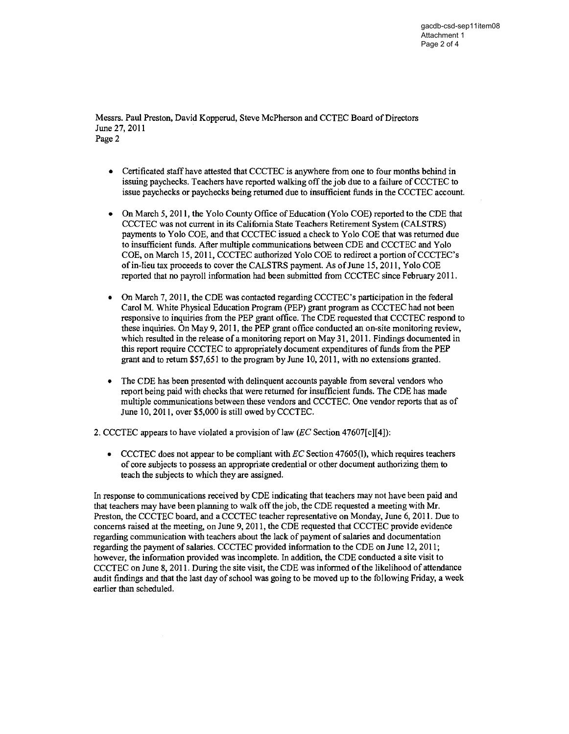Messrs. Paul Preston, David Kopperud, Steve McPherson and CCTEC Board of Directors June 27,2011 Page 2

- Certificated staff have attested that CCCTEC is anywhere from one to four months behind in issuing paychecks. Teachers have reported walking off the job due to a failure of CCCTEC to issue paychecks or paychecks being returned due to insufficient funds in the CCCTEC account.
- On March 5, 2011, the Yolo County Office of Education (Yolo COE) reported to the CDE that CCCTEC was not current in its California State Teachers Retirement System (CALSTRS) payments to Yolo COE, and that CCCTEC issued a check to Yolo COE that was returned due to insufficient funds. After multiple communications between CDE and CCCTEC and Yolo COE, on March 15,2011, CCCTEC authorized Yolo COE to redirect a portion ofCCCTEC's ofin-lieu tax proceeds to cover the CALSTRS payment. As ofJune 15, 20 **II,** Yolo COE reported that no payroll information had been submitted from CCCTEC since February 2011.
- On March 7, 2011, the CDE was contacted regarding CCCTEC's participation in the federal Carol M. White Physical Education Program (PEP) grant program as CCCTEC had not been responsive to inquiries from the PEP grant office. The CDE requested that CCCTEC respond to these inquiries. On May 9,2011, the PEP grant office conducted an on-site monitoring review, which resulted in the release of a monitoring report on May 31, 2011. Findings documented in this report require CCCTEC to appropriately document expenditures of funds from the PEP grant and to return  $$57,651$  to the program by June 10, 2011, with no extensions granted.
- The CDE has been presented with delinquent accounts payable from several vendors who report being paid with checks that were returned for insufficient funds. The CDE has made multiple communications between these vendors and CCCTEC. One vendor reports that as of June 10, 2011, over \$5,000 is still owed by CCCTEC.

2. CCCTEC appears to have violated a provision of law  $(EC$  Section 47607[c][4]):

CCCTEC does not appear to be compliant with  $EC$  Section 47605(1), which requires teachers of core subjects to possess an appropriate credential or other document authorizing them to teach the subjects to which they are assigned.

In response to communications received by CDE indicating that teachers may not have been paid and that teachers may have been planning to walk off the job, the CDE requested a meeting with Mr. Preston, the CCCTEC board, and a CCCTEC teacher representative on Monday, June 6, 2011. Due to concerns raised at the meeting, on June 9, 2011, the CDE requested that CCCTEC provide evidence regarding communication with teachers about the lack of payment of salaries and documentation regarding the payment of salaries. CCCTEC provided information to the CDE on June 12, 2011; however, the information provided was incomplete. In addition, the CDE conducted a site visit to CCCTEC on June 8, 2011. During the site visit, the CDE was informed of the likelihood of attendance audit findings and that the last day of school was going to be moved up to the following Friday, a week earlier than scheduled.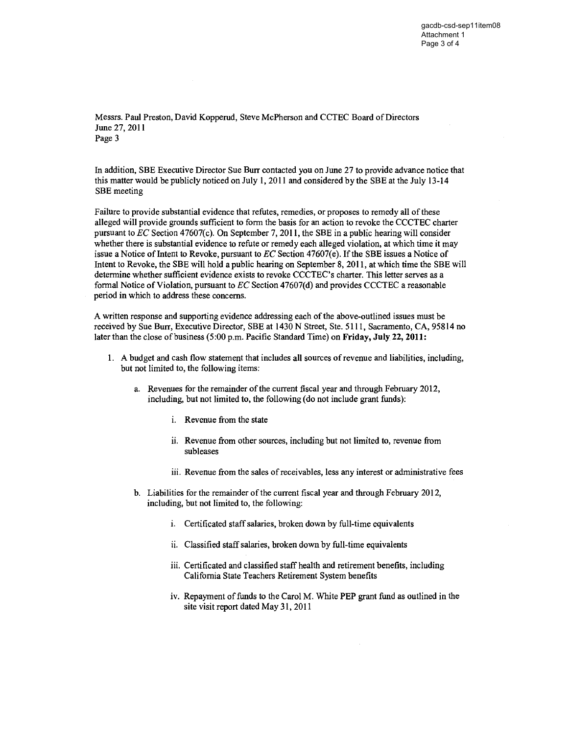Messrs. Paul Preston, David Kopperud, Steve McPherson and CCTEC Board of Directors June 27, 2011 Page 3

In addition, SBE Executive Director Sue Burr contacted you on June 27 to provide advance notice that this matter would be publicly noticed on July I, 2011 and considered by the SBE at the July 13-14 SBE meeting

Failure to provide substantial evidence that refutes, remedies, or proposes to remedy all of these alleged will provide grounds sufficient to form the basis for an action to revoke the CCCTEC charter pursuant to *EC* Section 4 7607( c). On September 7, 20 II, the SBE in a public hearing will consider whether there is substantial evidence to refute or remedy each alleged violation, at which time it may issue a Notice of Intent to Revoke, pursuant to *EC* Section 47607(e). If the SBE issues a Notice of Intent to Revoke, the SBE will hold a public hearing on September 8,2011, at which time the SBE will determine whether sufficient evidence exists to revoke CCCTEC's charter. This letter serves as a formal Notice of Violation, pursuant to *EC* Section 47607(d) and provides CCCTEC a reasonable period in which to address these concerns.

A written response and supporting evidence addressing each of the above-outlined issues must be received by Sue Burr, Executive Director, SBE at 1430 N Street, Ste. 5111, Sacramento, CA, 95814 no later than the close of business  $(5:00 \text{ p.m.} \text{ Pacific Standard Time})$  on Friday, July 22, 2011:

- 1. A budget and cash flow statement that includes all sources of revenue and liabilities, including, but not limited to, the following items:
	- a. Revenues for the remainder of the current fiscal year and through February 2012, including, but not limited to, the following (do not include grant funds):
		- i. Revenue from the state
		- i. Revenue from other sources, including but not limited to, revenue from subleases
		- iii. Revenue from the sales of receivables, less any interest or administrative fees
	- b. Liabilities for the remainder of the current fiscal year and through February 2012, including, but not limited to, the following:
		- i. Certificated staff salaries, broken down by full-time equivalents
		- ii. Classified staff salaries, broken down by full-time equivalents
		- iii. Certificated and classified staff health and retirement benefits, including California State Teachers Retirement System benefits
		- iv. Repayment of funds to the Carol M. White PEP grant fund as outlined in the site visit report dated May 31, 2011